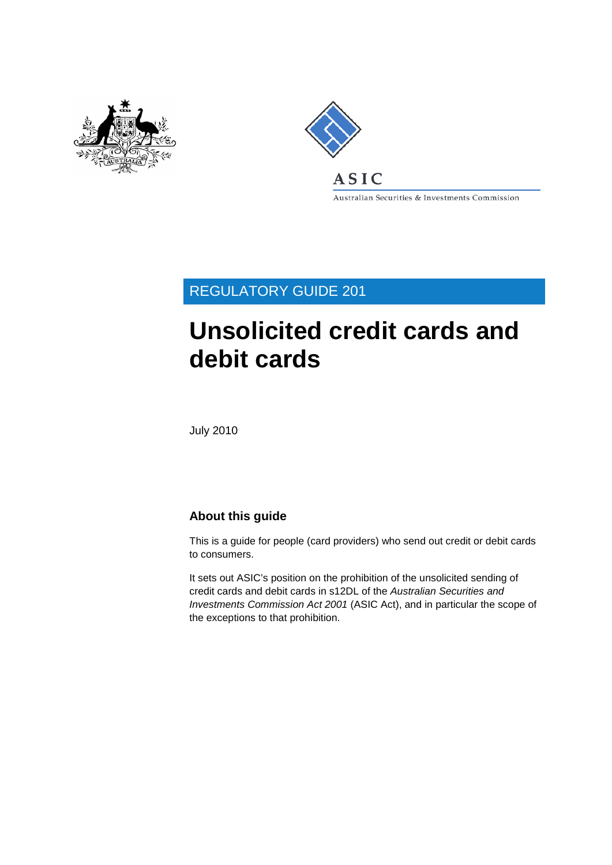



Australian Securities & Investments Commission

REGULATORY GUIDE 201

# **Unsolicited credit cards and debit cards**

July 2010

# **About this guide**

This is a guide for people (card providers) who send out credit or debit cards to consumers.

It sets out ASIC's position on the prohibition of the unsolicited sending of credit cards and debit cards in s12DL of the *Australian Securities and Investments Commission Act 2001* (ASIC Act), and in particular the scope of the exceptions to that prohibition.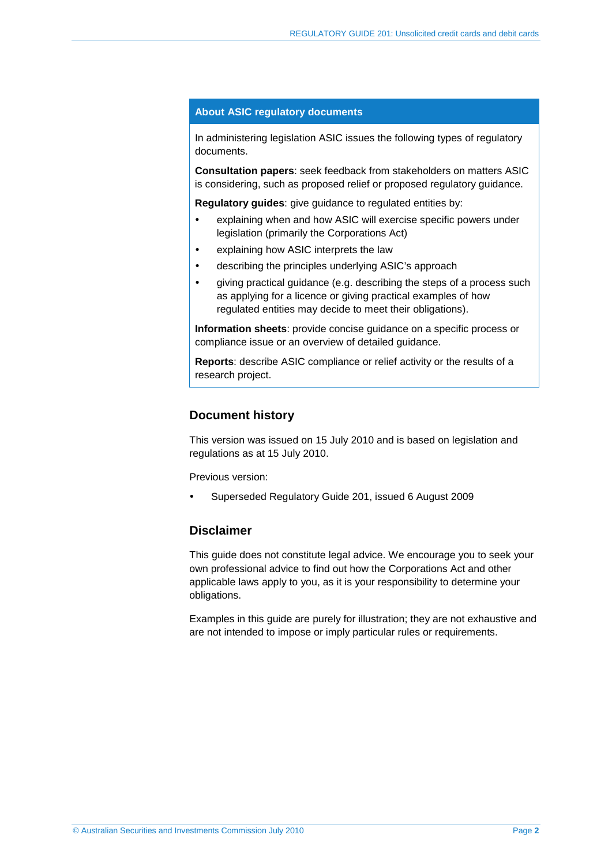#### **About ASIC regulatory documents**

In administering legislation ASIC issues the following types of regulatory documents.

**Consultation papers**: seek feedback from stakeholders on matters ASIC is considering, such as proposed relief or proposed regulatory guidance.

**Regulatory guides**: give guidance to regulated entities by:

- explaining when and how ASIC will exercise specific powers under legislation (primarily the Corporations Act)
- explaining how ASIC interprets the law
- describing the principles underlying ASIC's approach
- giving practical guidance (e.g. describing the steps of a process such as applying for a licence or giving practical examples of how regulated entities may decide to meet their obligations).

**Information sheets**: provide concise guidance on a specific process or compliance issue or an overview of detailed guidance.

**Reports**: describe ASIC compliance or relief activity or the results of a research project.

#### **Document history**

This version was issued on 15 July 2010 and is based on legislation and regulations as at 15 July 2010.

Previous version:

Superseded Regulatory Guide 201, issued 6 August 2009

#### **Disclaimer**

This guide does not constitute legal advice. We encourage you to seek your own professional advice to find out how the Corporations Act and other applicable laws apply to you, as it is your responsibility to determine your obligations.

Examples in this guide are purely for illustration; they are not exhaustive and are not intended to impose or imply particular rules or requirements.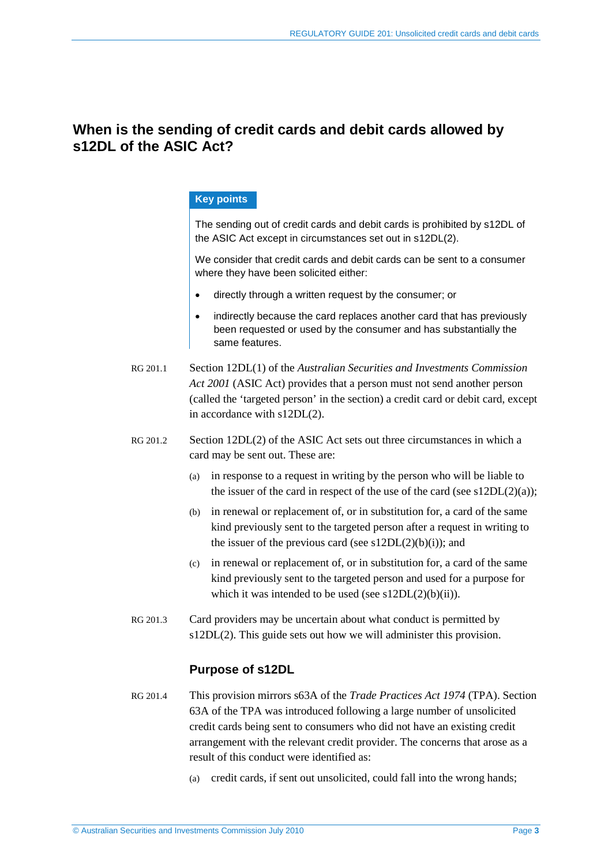# **When is the sending of credit cards and debit cards allowed by s12DL of the ASIC Act?**

#### **Key points**

The sending out of credit cards and debit cards is prohibited by s12DL of the ASIC Act except in circumstances set out in s12DL(2).

We consider that credit cards and debit cards can be sent to a consumer where they have been solicited either:

- directly through a written request by the consumer; or
- indirectly because the card replaces another card that has previously been requested or used by the consumer and has substantially the same features.
- RG 201.1 Section 12DL(1) of the *Australian Securities and Investments Commission Act 2001* (ASIC Act) provides that a person must not send another person (called the 'targeted person' in the section) a credit card or debit card, except in accordance with s12DL(2).
- RG 201.2 Section 12DL(2) of the ASIC Act sets out three circumstances in which a card may be sent out. These are:
	- (a) in response to a request in writing by the person who will be liable to the issuer of the card in respect of the use of the card (see  $s12DL(2)(a)$ );
	- (b) in renewal or replacement of, or in substitution for, a card of the same kind previously sent to the targeted person after a request in writing to the issuer of the previous card (see  $s12DL(2)(b)(i)$ ); and
	- (c) in renewal or replacement of, or in substitution for, a card of the same kind previously sent to the targeted person and used for a purpose for which it was intended to be used (see  $s12DL(2)(b)(ii)$ ).
- RG 201.3 Card providers may be uncertain about what conduct is permitted by s12DL(2). This guide sets out how we will administer this provision.

# **Purpose of s12DL**

- RG 201.4 This provision mirrors s63A of the *Trade Practices Act 1974* (TPA). Section 63A of the TPA was introduced following a large number of unsolicited credit cards being sent to consumers who did not have an existing credit arrangement with the relevant credit provider. The concerns that arose as a result of this conduct were identified as:
	- (a) credit cards, if sent out unsolicited, could fall into the wrong hands;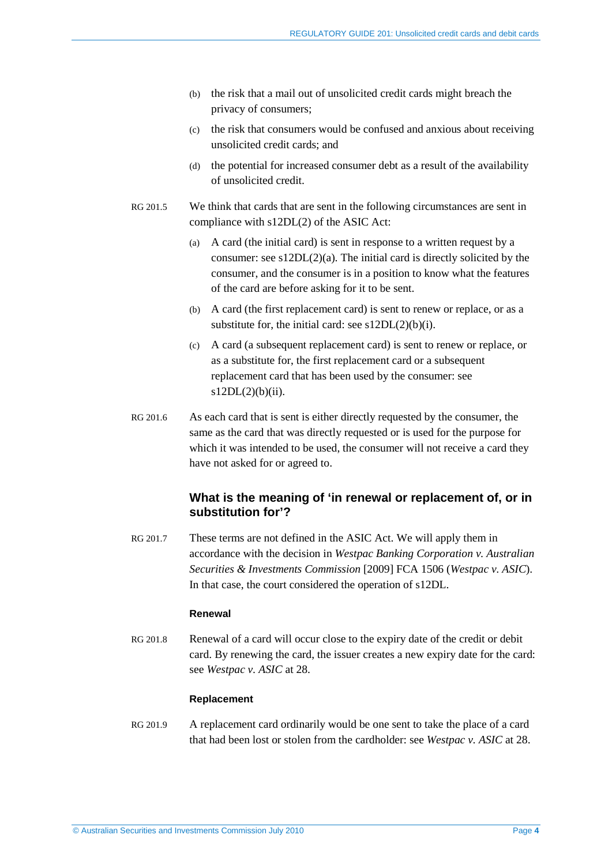- (b) the risk that a mail out of unsolicited credit cards might breach the privacy of consumers;
- (c) the risk that consumers would be confused and anxious about receiving unsolicited credit cards; and
- (d) the potential for increased consumer debt as a result of the availability of unsolicited credit.
- RG 201.5 We think that cards that are sent in the following circumstances are sent in compliance with s12DL(2) of the ASIC Act:
	- (a) A card (the initial card) is sent in response to a written request by a consumer: see  $s12DL(2)(a)$ . The initial card is directly solicited by the consumer, and the consumer is in a position to know what the features of the card are before asking for it to be sent.
	- (b) A card (the first replacement card) is sent to renew or replace, or as a substitute for, the initial card: see  $s12DL(2)(b)(i)$ .
	- (c) A card (a subsequent replacement card) is sent to renew or replace, or as a substitute for, the first replacement card or a subsequent replacement card that has been used by the consumer: see  $s12DL(2)(b)(ii)$ .
- RG 201.6 As each card that is sent is either directly requested by the consumer, the same as the card that was directly requested or is used for the purpose for which it was intended to be used, the consumer will not receive a card they have not asked for or agreed to.

# **What is the meaning of 'in renewal or replacement of, or in substitution for'?**

RG 201.7 These terms are not defined in the ASIC Act. We will apply them in accordance with the decision in *Westpac Banking Corporation v. Australian Securities & Investments Commission* [2009] FCA 1506 (*Westpac v. ASIC*). In that case, the court considered the operation of s12DL.

#### **Renewal**

RG 201.8 Renewal of a card will occur close to the expiry date of the credit or debit card. By renewing the card, the issuer creates a new expiry date for the card: see *Westpac v. ASIC* at 28.

#### **Replacement**

RG 201.9 A replacement card ordinarily would be one sent to take the place of a card that had been lost or stolen from the cardholder: see *Westpac v. ASIC* at 28.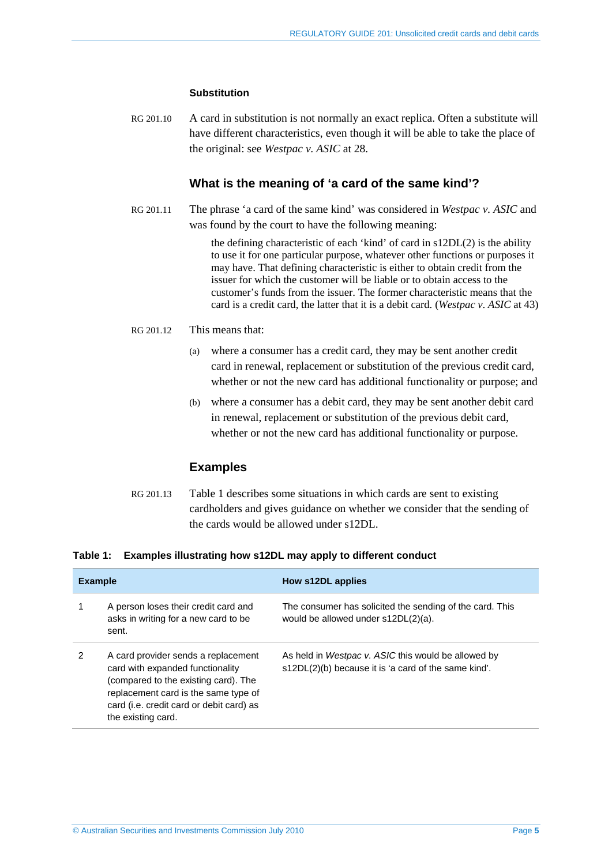#### **Substitution**

RG 201.10 A card in substitution is not normally an exact replica. Often a substitute will have different characteristics, even though it will be able to take the place of the original: see *Westpac v. ASIC* at 28.

#### **What is the meaning of 'a card of the same kind'?**

RG 201.11 The phrase 'a card of the same kind' was considered in *Westpac v. ASIC* and was found by the court to have the following meaning:

> the defining characteristic of each 'kind' of card in s12DL(2) is the ability to use it for one particular purpose, whatever other functions or purposes it may have. That defining characteristic is either to obtain credit from the issuer for which the customer will be liable or to obtain access to the customer's funds from the issuer. The former characteristic means that the card is a credit card, the latter that it is a debit card. (*Westpac v. ASIC* at 43)

#### RG 201.12 This means that:

- (a) where a consumer has a credit card, they may be sent another credit card in renewal, replacement or substitution of the previous credit card, whether or not the new card has additional functionality or purpose; and
- (b) where a consumer has a debit card, they may be sent another debit card in renewal, replacement or substitution of the previous debit card, whether or not the new card has additional functionality or purpose.

### **Examples**

RG 201.13 Table 1 describes some situations in which cards are sent to existing cardholders and gives guidance on whether we consider that the sending of the cards would be allowed under s12DL.

#### **Table 1: Examples illustrating how s12DL may apply to different conduct**

| <b>Example</b> |                                                                                                                                                                                                                           | How s12DL applies                                                                                           |
|----------------|---------------------------------------------------------------------------------------------------------------------------------------------------------------------------------------------------------------------------|-------------------------------------------------------------------------------------------------------------|
| 1              | A person loses their credit card and<br>asks in writing for a new card to be<br>sent.                                                                                                                                     | The consumer has solicited the sending of the card. This<br>would be allowed under s12DL(2)(a).             |
| 2              | A card provider sends a replacement<br>card with expanded functionality<br>(compared to the existing card). The<br>replacement card is the same type of<br>card (i.e. credit card or debit card) as<br>the existing card. | As held in Westpac v. ASIC this would be allowed by<br>s12DL(2)(b) because it is 'a card of the same kind'. |